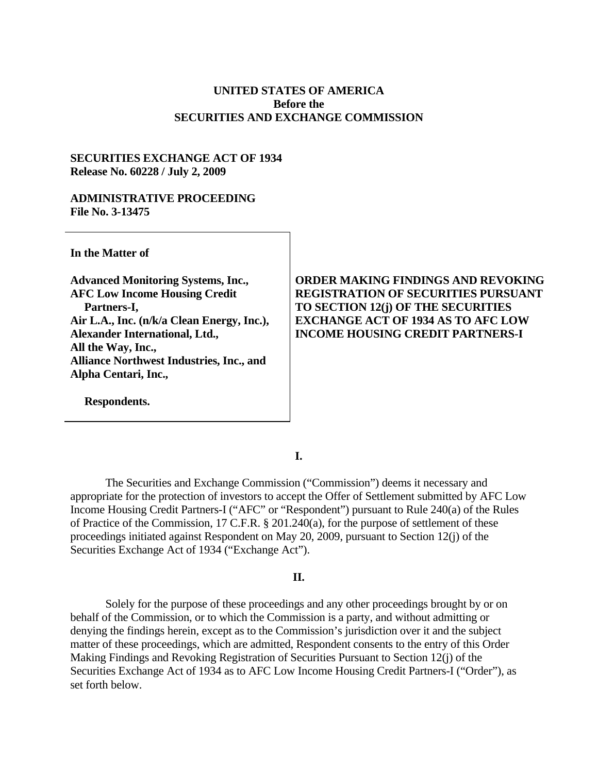## **UNITED STATES OF AMERICA Before the SECURITIES AND EXCHANGE COMMISSION**

## **SECURITIES EXCHANGE ACT OF 1934 Release No. 60228 / July 2, 2009**

### **ADMINISTRATIVE PROCEEDING File No. 3-13475**

**In the Matter of** 

**Advanced Monitoring Systems, Inc., AFC Low Income Housing Credit Partners-I, Air L.A., Inc. (n/k/a Clean Energy, Inc.), Alexander International, Ltd., All the Way, Inc., Alliance Northwest Industries, Inc., and Alpha Centari, Inc.,** 

**Respondents.** 

# **ORDER MAKING FINDINGS AND REVOKING REGISTRATION OF SECURITIES PURSUANT TO SECTION 12(j) OF THE SECURITIES EXCHANGE ACT OF 1934 AS TO AFC LOW INCOME HOUSING CREDIT PARTNERS-I**

**I.** 

The Securities and Exchange Commission ("Commission") deems it necessary and appropriate for the protection of investors to accept the Offer of Settlement submitted by AFC Low Income Housing Credit Partners-I ("AFC" or "Respondent") pursuant to Rule 240(a) of the Rules of Practice of the Commission, 17 C.F.R. § 201.240(a), for the purpose of settlement of these proceedings initiated against Respondent on May 20, 2009, pursuant to Section 12(j) of the Securities Exchange Act of 1934 ("Exchange Act").

### **II.**

Solely for the purpose of these proceedings and any other proceedings brought by or on behalf of the Commission, or to which the Commission is a party, and without admitting or denying the findings herein, except as to the Commission's jurisdiction over it and the subject matter of these proceedings, which are admitted, Respondent consents to the entry of this Order Making Findings and Revoking Registration of Securities Pursuant to Section 12(j) of the Securities Exchange Act of 1934 as to AFC Low Income Housing Credit Partners-I ("Order"), as set forth below.